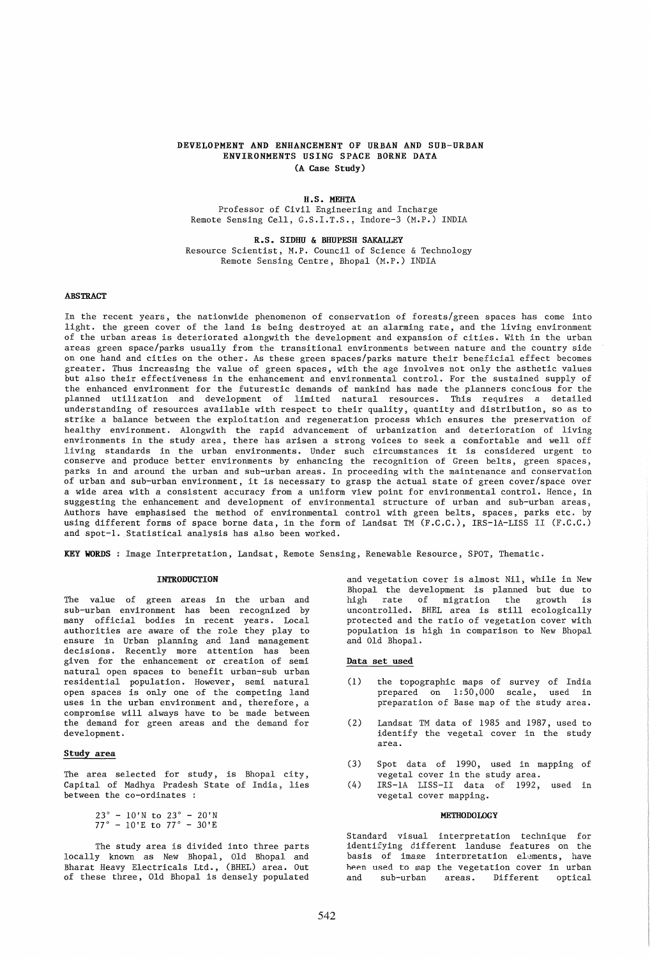# DEVELOPMENT AND ENHANCEMENT OF URBAN AND SUB-URBAN ENVIRONMENTS USING SPACE BORNE DATA (A Case Study)

### H.S. MEHTA

Professor of Civil Engineering and Incharge Remote Sensing Cell, G.S.I.T.S., Indore-3 (M.P.) INDIA

R.S. SIDHU & BHUPESH SAKALLEY Resource Scientist, M.P. Council of Science & Technology Remote Sensing Centre, Bhopal (M.P.) INDIA

## ABSTRACT

In the recent years, the nationwide phenomenon of conservation of forests/green spaces has come into light. the green cover of the land is being destroyed at an alarming rate, and the living environment of the urban areas is deteriorated alongwith the development and expansion of cities. With in the urban areas green space/parks usually from the transitional environments between nature and the country side on one hand and cities on the other. As these green spaces/parks mature their beneficial effect becomes greater. Thus increasing the value of green spaces, with the age involves not only the asthetic values but also their effectiveness in the enhancement and environmental control. For the sustained supply of the enhanced environment for the futurestic demands of mankind has made the planners concious for the planned utilization and development of limited natural resources. This requires a detailed .<br>understanding of resources available with respect to their quality, quantity and distribution, so as to strike a balance between the exploitation and regeneration process which ensures the preservation of healthy environment. Alongwith the rapid advancement of urbanization and deterioration of living environments in the study area, there has arisen a strong voices to seek a comfortable and well off living standards in the urban environments. Under such circumstances it is considered urgent to conserve and produce better environments by enhancing the recognition of Green belts, green spaces, parks in and around the urban and sub-urban areas. In proceeding with the maintenance and conservation of urban and sub-urban environment, it is necessary to grasp the actual state of green cover/space over a wide area with a consistent accuracy from a uniform view point for environmental control. Hence, in suggesting the enhancement and development of environmental structure of urban and sub-urban areas, Authors have emphasised the method of environmental control with green belts, spaces, parks etc. by using different forms of space borne data, in the form of Landsat TM (F.C.C.), IRS-IA-LISS II (F.C.C.) and spot-I. Statistical analysis has also been worked.

KEY WORDS: Image Interpretation, Landsat, Remote Sensing, Renewable Resource, SPOT, Thematic.

### **INTRODUCTION**

The value of green areas in the urban and sub-urban environment has been recognized by many official bodies in recent years. Local authorities are aware of the role they play to ensure in Urban planning and land management decisions. Recently more attention has been given for the enhancement or creation of semi natural open spaces to benefit urban-sub urban residential population. However, semi natural open spaces is only one of the competing land uses in the urban environment and, therefore, a compromise will always have to be made between the demand for green areas and the demand for development.

## Study area

The area selected for study, is Bhopal city, Capital of Madhya Pradesh State of India, lies between the co-ordinates :

> 23° - lO'N to *23°* - 20'N *77°* - 10'E to *77°* - 30'E

The study area is divided into three parts locally known as New Bhopal, Old Bhopal and Bharat Heavy Electricals Ltd., (BHEL) area. Out of these three, Old Bhopal is densely populated and vegetation cover is almost Nil, while in New Bhopal the development is planned but due to<br>high rate of migration the growth is high rate of migration the growth uncontrolled. BHEL area is still ecologically protected and the ratio of vegetation cover with population is high in comparison to New Bhopal and Old Bhopal.

# Data set used

- (l) the topographic maps of survey of India prepared on 1:50,000 scale, used in preparation of Base map of the study area.
- (2) Landsat TM data of 1985 and 1987, used to identify the vegetal cover in the study area.
- (3) Spot data of 1990, used in mapping of vegetal cover in the study area.
- (4) IRS-IA LISS-II data of 1992, used in vegetal cover mapping.

#### **METHODOLOGY**

Standard visual interpretation technique for identifying different landuse features on the basis of image interpretation elements, have heen used to map the vegetation cover in urban<br>and sub-urban areas. Different optical areas. Different optical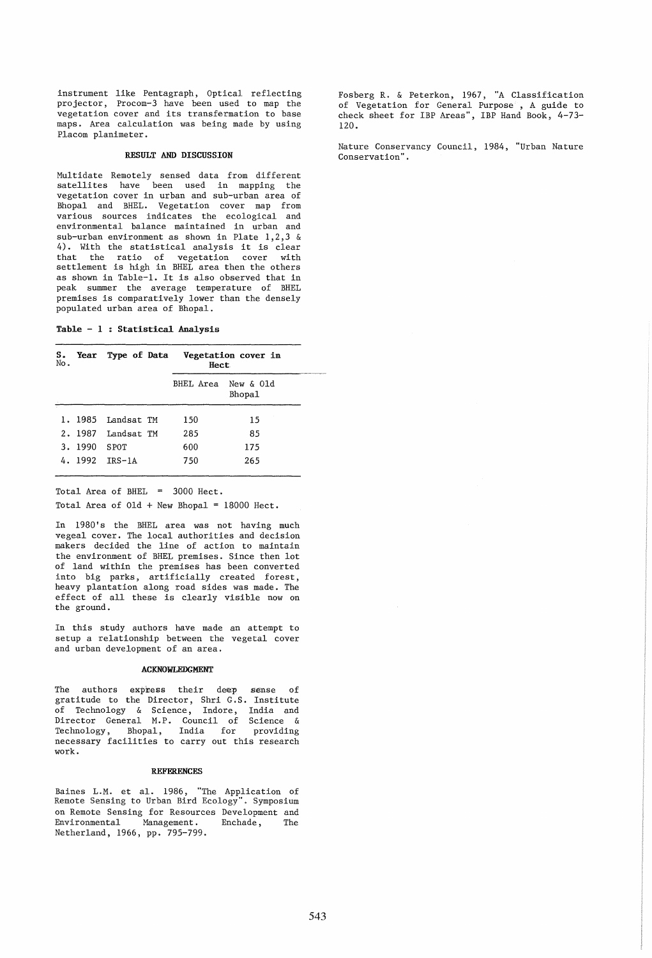instrument like Pentagraph, Optical reflecting projector, Procom-3 have been used to map the vegetation cover and its transfermation to base maps. Area calculation was being made by using Placom planimeter.

## RESULT AND DISCUSSION

Multidate Remotely sensed data from different satellites have been used in mapping the vegetation cover in urban and sub-urban area of Bhopal and BHEL. Vegetation cover map from various sources indicates the ecological and environmental balance maintained in urban and sub-urban environment as shown in Plate 1,2,3 & 4). With the statistical analysis it is clear that the ratio of vegetation cover with settlement is high in BHEL area then the others as shown in Table-I. It is also observed that in peak summer the average temperature of BHEL premises is comparatively lower than the densely populated urban area of Bhopal.

Table  $-1$ : Statistical Analysis

| S.<br>No. |         |                    | Year Type of Data Vegetation cover in<br>Hect. |                     |  |
|-----------|---------|--------------------|------------------------------------------------|---------------------|--|
|           |         |                    | BHEL Area                                      | New & Old<br>Bhopa1 |  |
|           |         | 1. 1985 Iandsat TM | 150                                            | 15                  |  |
|           |         | 2. 1987 Landsat TM | 285                                            | 85                  |  |
|           | 3. 1990 | <b>SPOT</b>        | 600                                            | 175                 |  |
|           |         | 4. 1992 IRS-1A     | 750                                            | 265                 |  |

Total Area of BHEL = 3000 Hect.

Total Area of  $01d + New Bhopal = 18000$  Hect.

In 1980's the BHEL area was not having much vegeal cover. The local authorities and decision makers decided the line of action to maintain the environment of BHEL premises. Since then lot of land wi thin the premises has been converted into big parks, artificially created forest, heavy plantation along road sides was made. The effect of all these is clearly visible now on the ground.

In this study authors have made an attempt to setup a relationship between the vegetal cover and urban development of an area.

## ACKNOWLEDGMENT

The authors expiress their deep sense of gratitude to the Director, Shri G.S. Institute of Technology & Science, Indore, India and Director General M.P. Council of Science & Technology, Bhopal, India for providing necessary facilities to carry out this research work.

## **REFERENCES**

Baines L.M. et al. 1986, "The Application of Remote Sensing to Urban Bird Ecology". Symposium on Remote Sensing for Resources Development and<br>Environmental Management. Enchade, The Environmental Netherland, 1966, pp. 795-799.

Fosberg R. & Peterkon, 1967, "A Classification of Vegetation for General Purpose<sup>9</sup>, A guide to check sheet for IBP Areas", IBP Hand Book, 4-73- 120.

Nature Conservancy Council, 1984, "Urban Nature Conservation" .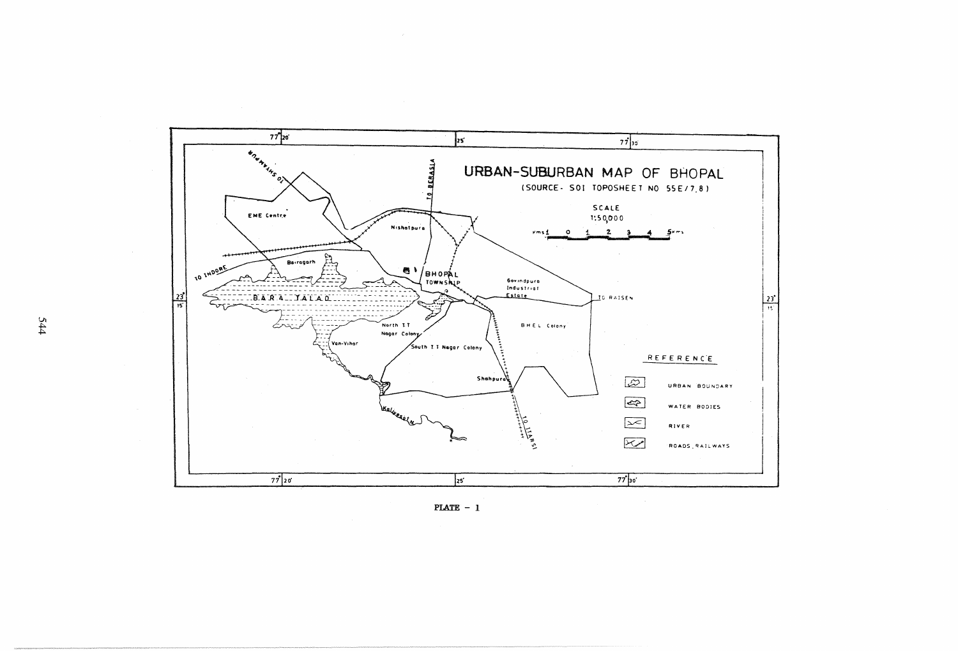

 $PLATE - 1$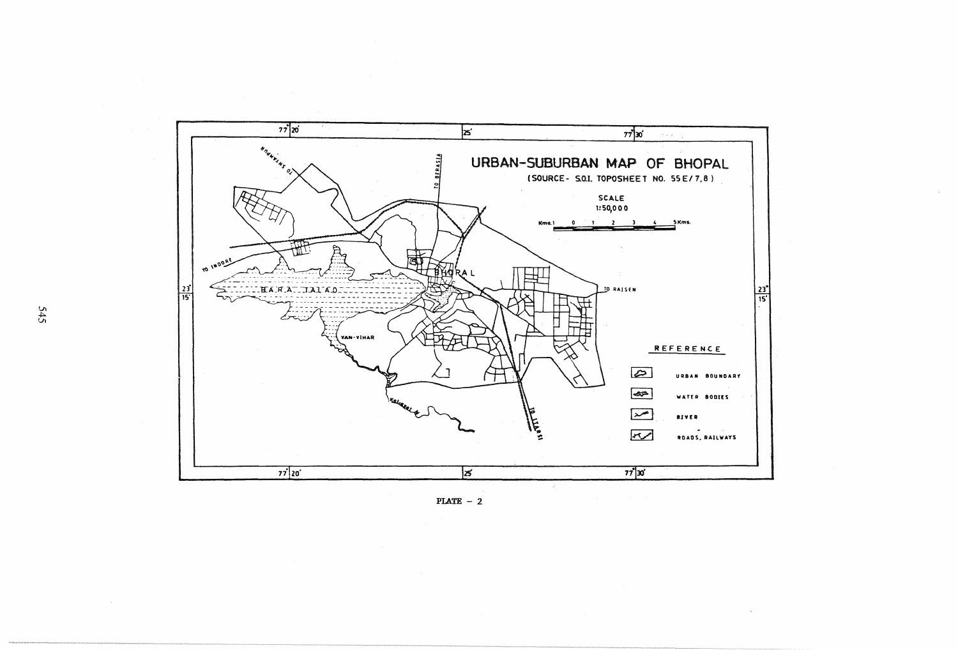

PLATE  $-2$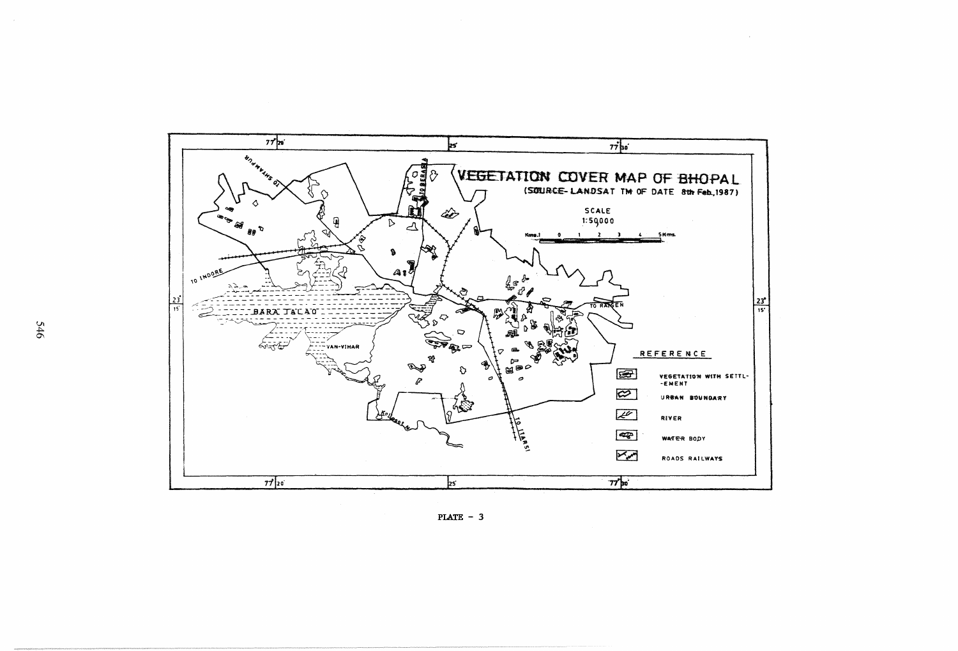

PLATE  $-3$